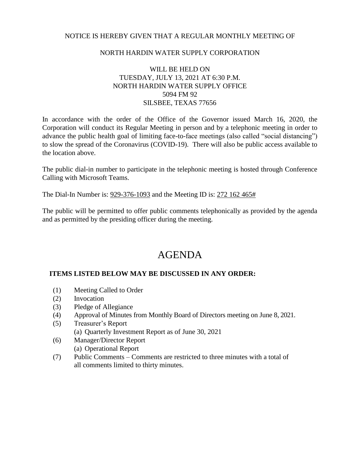# NOTICE IS HEREBY GIVEN THAT A REGULAR MONTHLY MEETING OF

# NORTH HARDIN WATER SUPPLY CORPORATION

# WILL BE HELD ON TUESDAY, JULY 13, 2021 AT 6:30 P.M. NORTH HARDIN WATER SUPPLY OFFICE 5094 FM 92 SILSBEE, TEXAS 77656

In accordance with the order of the Office of the Governor issued March 16, 2020, the Corporation will conduct its Regular Meeting in person and by a telephonic meeting in order to advance the public health goal of limiting face-to-face meetings (also called "social distancing") to slow the spread of the Coronavirus (COVID-19). There will also be public access available to the location above.

The public dial-in number to participate in the telephonic meeting is hosted through Conference Calling with Microsoft Teams.

The Dial-In Number is: 929-376-1093 and the Meeting ID is: 272 162 465#

The public will be permitted to offer public comments telephonically as provided by the agenda and as permitted by the presiding officer during the meeting.

# AGENDA

#### **ITEMS LISTED BELOW MAY BE DISCUSSED IN ANY ORDER:**

- (1) Meeting Called to Order
- (2) Invocation
- (3) Pledge of Allegiance
- (4) Approval of Minutes from Monthly Board of Directors meeting on June 8, 2021.
- (5) Treasurer's Report
	- (a) Quarterly Investment Report as of June 30, 2021
- (6) Manager/Director Report (a) Operational Report
- (7) Public Comments Comments are restricted to three minutes with a total of all comments limited to thirty minutes.